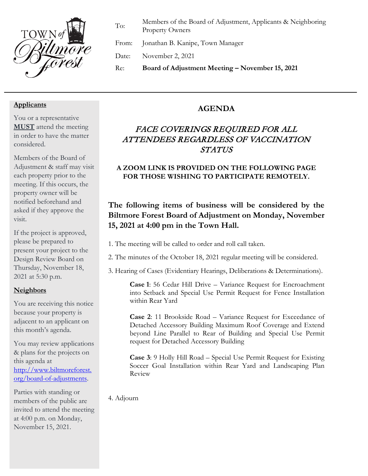

To: Members of the Board of Adjustment, Applicants & Neighboring Property Owners

From: Jonathan B. Kanipe, Town Manager

Date: November 2, 2021

Re: **Board of Adjustment Meeting – November 15, 2021**

#### **Applicants**

You or a representative **MUST** attend the meeting in order to have the matter considered.

Members of the Board of Adjustment & staff may visit each property prior to the meeting. If this occurs, the property owner will be notified beforehand and asked if they approve the visit.

If the project is approved, please be prepared to present your project to the Design Review Board on Thursday, November 18, 2021 at 5:30 p.m.

### **Neighbors**

You are receiving this notice because your property is adjacent to an applicant on this month's agenda.

You may review applications & plans for the projects on this agenda at [http://www.biltmoreforest.](http://www.biltmoreforest.org/board-of-adjustments) [org/board-of-adjustments.](http://www.biltmoreforest.org/board-of-adjustments)

Parties with standing or members of the public are invited to attend the meeting at 4:00 p.m. on Monday, November 15, 2021.

## **AGENDA**

# FACE COVERINGS REQUIRED FOR ALL ATTENDEES REGARDLESS OF VACCINATION **STATUS**

## **A ZOOM LINK IS PROVIDED ON THE FOLLOWING PAGE FOR THOSE WISHING TO PARTICIPATE REMOTELY.**

## **The following items of business will be considered by the Biltmore Forest Board of Adjustment on Monday, November 15, 2021 at 4:00 pm in the Town Hall.**

- 1. The meeting will be called to order and roll call taken.
- 2. The minutes of the October 18, 2021 regular meeting will be considered.
- 3. Hearing of Cases (Evidentiary Hearings, Deliberations & Determinations).

**Case 1**: 56 Cedar Hill Drive – Variance Request for Encroachment into Setback and Special Use Permit Request for Fence Installation within Rear Yard

**Case 2**: 11 Brookside Road – Variance Request for Exceedance of Detached Accessory Building Maximum Roof Coverage and Extend beyond Line Parallel to Rear of Building and Special Use Permit request for Detached Accessory Building

**Case 3**: 9 Holly Hill Road – Special Use Permit Request for Existing Soccer Goal Installation within Rear Yard and Landscaping Plan Review

4. Adjourn